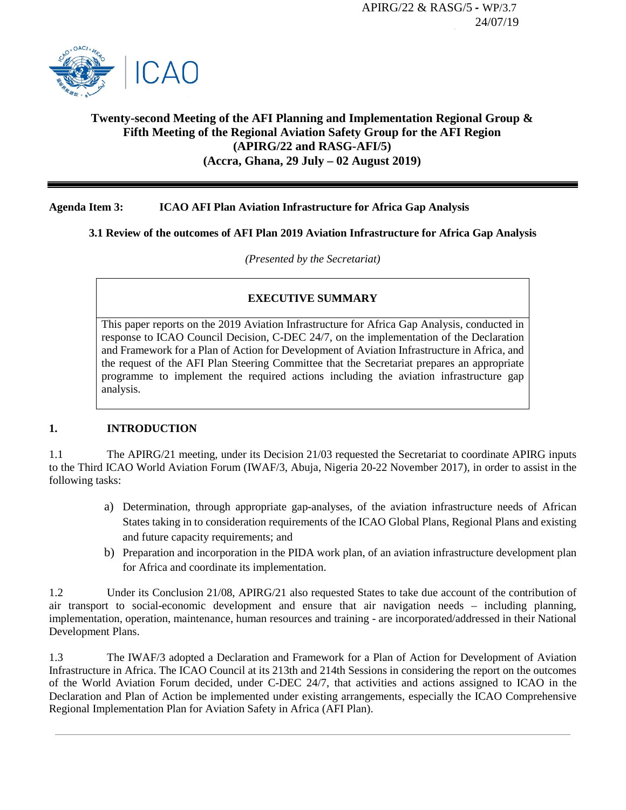

# **Twenty-second Meeting of the AFI Planning and Implementation Regional Group & Fifth Meeting of the Regional Aviation Safety Group for the AFI Region (APIRG/22 and RASG-AFI/5) (Accra, Ghana, 29 July – 02 August 2019)**

### **Agenda Item 3: ICAO AFI Plan Aviation Infrastructure for Africa Gap Analysis**

### **3.1 Review of the outcomes of AFI Plan 2019 Aviation Infrastructure for Africa Gap Analysis**

*(Presented by the Secretariat)*

# **EXECUTIVE SUMMARY**

This paper reports on the 2019 Aviation Infrastructure for Africa Gap Analysis, conducted in response to ICAO Council Decision, C-DEC 24/7, on the implementation of the Declaration and Framework for a Plan of Action for Development of Aviation Infrastructure in Africa, and the request of the AFI Plan Steering Committee that the Secretariat prepares an appropriate programme to implement the required actions including the aviation infrastructure gap analysis.

#### **1. INTRODUCTION**

1.1 The APIRG/21 meeting, under its Decision 21/03 requested the Secretariat to coordinate APIRG inputs to the Third ICAO World Aviation Forum (IWAF/3, Abuja, Nigeria 20-22 November 2017), in order to assist in the following tasks:

- a) Determination, through appropriate gap-analyses, of the aviation infrastructure needs of African States taking in to consideration requirements of the ICAO Global Plans, Regional Plans and existing and future capacity requirements; and
- b) Preparation and incorporation in the PIDA work plan, of an aviation infrastructure development plan for Africa and coordinate its implementation.

1.2 Under its Conclusion 21/08, APIRG/21 also requested States to take due account of the contribution of air transport to social-economic development and ensure that air navigation needs – including planning, implementation, operation, maintenance, human resources and training - are incorporated/addressed in their National Development Plans.

1.3 The IWAF/3 adopted a Declaration and Framework for a Plan of Action for Development of Aviation Infrastructure in Africa. The ICAO Council at its 213th and 214th Sessions in considering the report on the outcomes of the World Aviation Forum decided, under C-DEC 24/7, that activities and actions assigned to ICAO in the Declaration and Plan of Action be implemented under existing arrangements, especially the ICAO Comprehensive Regional Implementation Plan for Aviation Safety in Africa (AFI Plan).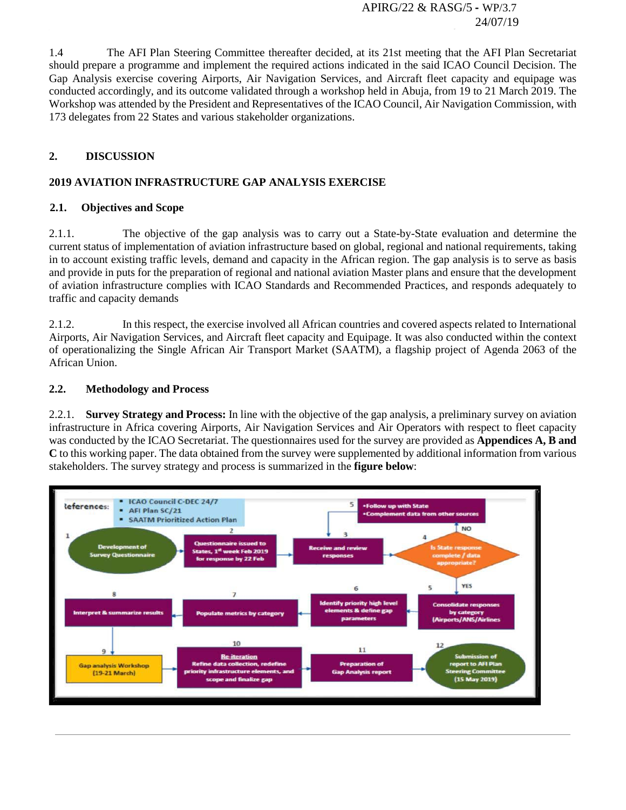1.4 The AFI Plan Steering Committee thereafter decided, at its 21st meeting that the AFI Plan Secretariat should prepare a programme and implement the required actions indicated in the said ICAO Council Decision. The Gap Analysis exercise covering Airports, Air Navigation Services, and Aircraft fleet capacity and equipage was conducted accordingly, and its outcome validated through a workshop held in Abuja, from 19 to 21 March 2019. The Workshop was attended by the President and Representatives of the ICAO Council, Air Navigation Commission, with 173 delegates from 22 States and various stakeholder organizations.

## **2. DISCUSSION**

# **2019 AVIATION INFRASTRUCTURE GAP ANALYSIS EXERCISE**

#### **2.1. Objectives and Scope**

2.1.1. The objective of the gap analysis was to carry out a State-by-State evaluation and determine the current status of implementation of aviation infrastructure based on global, regional and national requirements, taking in to account existing traffic levels, demand and capacity in the African region. The gap analysis is to serve as basis and provide in puts for the preparation of regional and national aviation Master plans and ensure that the development of aviation infrastructure complies with ICAO Standards and Recommended Practices, and responds adequately to traffic and capacity demands

2.1.2. In this respect, the exercise involved all African countries and covered aspects related to International Airports, Air Navigation Services, and Aircraft fleet capacity and Equipage. It was also conducted within the context of operationalizing the Single African Air Transport Market (SAATM), a flagship project of Agenda 2063 of the African Union.

#### **2.2. Methodology and Process**

2.2.1. **Survey Strategy and Process:** In line with the objective of the gap analysis, a preliminary survey on aviation infrastructure in Africa covering Airports, Air Navigation Services and Air Operators with respect to fleet capacity was conducted by the ICAO Secretariat. The questionnaires used for the survey are provided as **Appendices A, B and C** to this working paper. The data obtained from the survey were supplemented by additional information from various stakeholders. The survey strategy and process is summarized in the **figure below**:

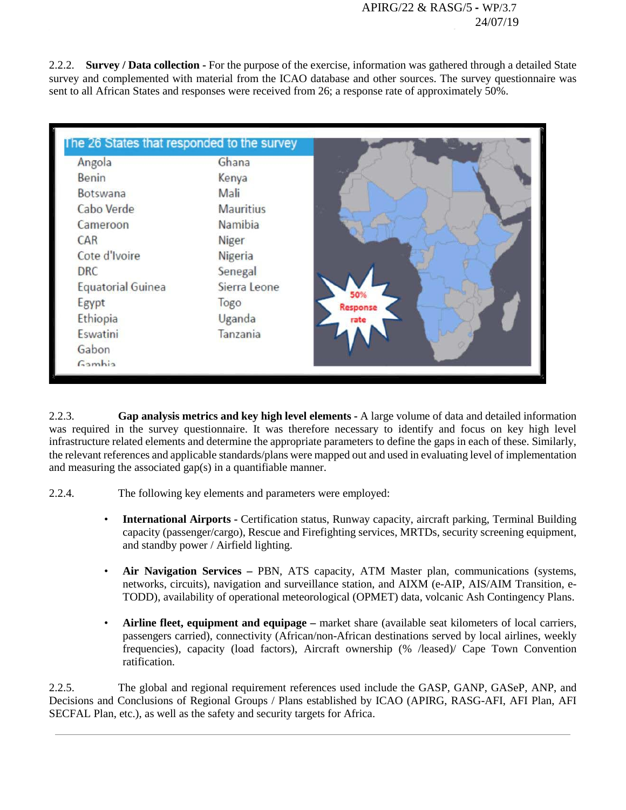2.2.2. **Survey / Data collection -** For the purpose of the exercise, information was gathered through a detailed State survey and complemented with material from the ICAO database and other sources. The survey questionnaire was sent to all African States and responses were received from 26; a response rate of approximately 50%.



2.2.3. **Gap analysis metrics and key high level elements -** A large volume of data and detailed information was required in the survey questionnaire. It was therefore necessary to identify and focus on key high level infrastructure related elements and determine the appropriate parameters to define the gaps in each of these. Similarly, the relevant references and applicable standards/plans were mapped out and used in evaluating level of implementation and measuring the associated gap(s) in a quantifiable manner.

2.2.4. The following key elements and parameters were employed:

- **International Airports -** Certification status, Runway capacity, aircraft parking, Terminal Building capacity (passenger/cargo), Rescue and Firefighting services, MRTDs, security screening equipment, and standby power / Airfield lighting.
- **Air Navigation Services –** PBN, ATS capacity, ATM Master plan, communications (systems, networks, circuits), navigation and surveillance station, and AIXM (e-AIP, AIS/AIM Transition, e-TODD), availability of operational meteorological (OPMET) data, volcanic Ash Contingency Plans.
- **Airline fleet, equipment and equipage –** market share (available seat kilometers of local carriers, passengers carried), connectivity (African/non-African destinations served by local airlines, weekly frequencies), capacity (load factors), Aircraft ownership (% /leased)/ Cape Town Convention ratification.

2.2.5. The global and regional requirement references used include the GASP, GANP, GASeP, ANP, and Decisions and Conclusions of Regional Groups / Plans established by ICAO (APIRG, RASG-AFI, AFI Plan, AFI SECFAL Plan, etc.), as well as the safety and security targets for Africa.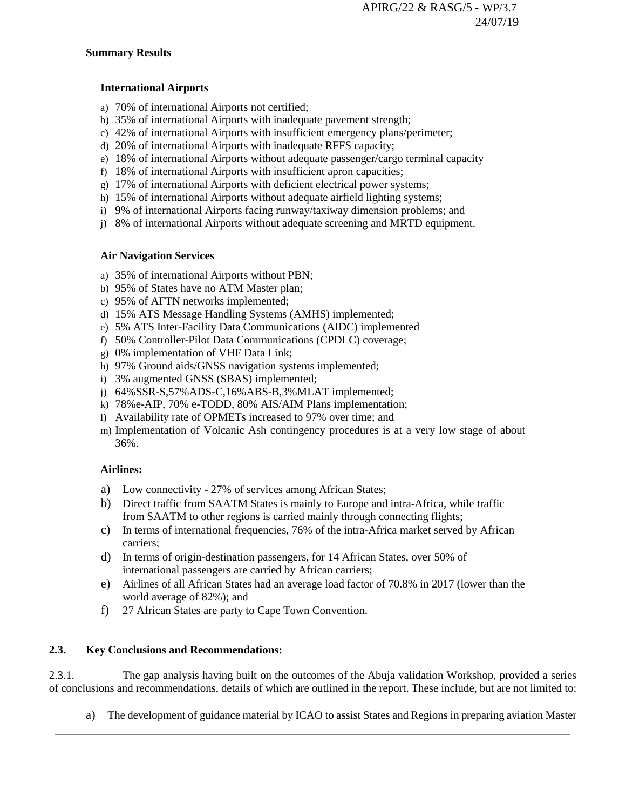#### **Summary Results**

#### **International Airports**

- a) 70% of international Airports not certified;
- b) 35% of international Airports with inadequate pavement strength;
- c) 42% of international Airports with insufficient emergency plans/perimeter;
- d) 20% of international Airports with inadequate RFFS capacity;
- e) 18% of international Airports without adequate passenger/cargo terminal capacity
- f) 18% of international Airports with insufficient apron capacities;
- g) 17% of international Airports with deficient electrical power systems;
- h) 15% of international Airports without adequate airfield lighting systems;
- i) 9% of international Airports facing runway/taxiway dimension problems; and
- j) 8% of international Airports without adequate screening and MRTD equipment.

### **Air Navigation Services**

- a) 35% of international Airports without PBN;
- b) 95% of States have no ATM Master plan;
- c) 95% of AFTN networks implemented;
- d) 15% ATS Message Handling Systems (AMHS) implemented;
- e) 5% ATS Inter-Facility Data Communications (AIDC) implemented
- f) 50% Controller-Pilot Data Communications (CPDLC) coverage;
- g) 0% implementation of VHF Data Link;
- h) 97% Ground aids/GNSS navigation systems implemented;
- i) 3% augmented GNSS (SBAS) implemented;
- j) 64%SSR-S,57%ADS-C,16%ABS-B,3%MLAT implemented;
- k) 78%e-AIP, 70% e-TODD, 80% AIS/AIM Plans implementation;
- l) Availability rate of OPMETs increased to 97% over time; and
- m) Implementation of Volcanic Ash contingency procedures is at a very low stage of about 36%.

# **Airlines:**

- a) Low connectivity 27% of services among African States;
- b) Direct traffic from SAATM States is mainly to Europe and intra-Africa, while traffic from SAATM to other regions is carried mainly through connecting flights;
- c) In terms of international frequencies, 76% of the intra-Africa market served by African carriers;
- d) In terms of origin-destination passengers, for 14 African States, over 50% of international passengers are carried by African carriers;
- e) Airlines of all African States had an average load factor of 70.8% in 2017 (lower than the world average of 82%); and
- f) 27 African States are party to Cape Town Convention.

# **2.3. Key Conclusions and Recommendations:**

2.3.1. The gap analysis having built on the outcomes of the Abuja validation Workshop, provided a series of conclusions and recommendations, details of which are outlined in the report. These include, but are not limited to:

a) The development of guidance material by ICAO to assist States and Regions in preparing aviation Master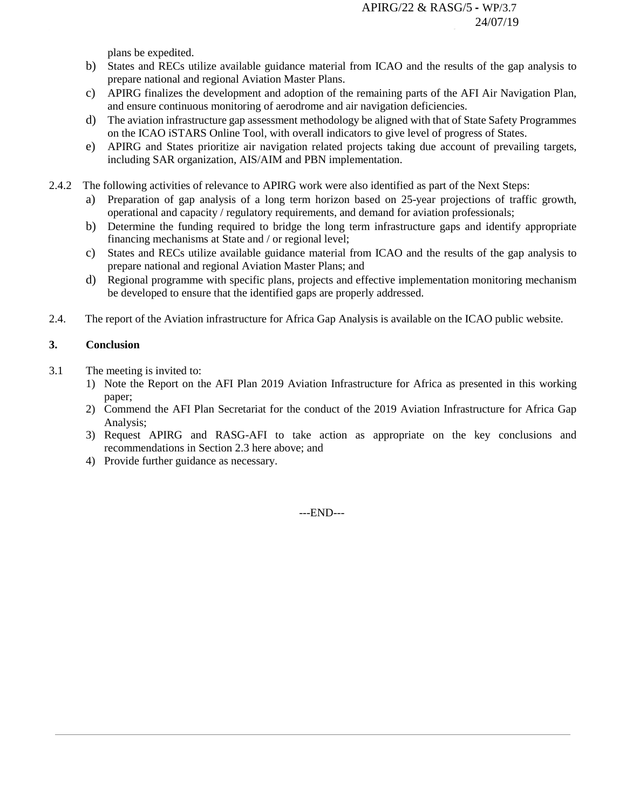plans be expedited.

- b) States and RECs utilize available guidance material from ICAO and the results of the gap analysis to prepare national and regional Aviation Master Plans.
- c) APIRG finalizes the development and adoption of the remaining parts of the AFI Air Navigation Plan, and ensure continuous monitoring of aerodrome and air navigation deficiencies.
- d) The aviation infrastructure gap assessment methodology be aligned with that of State Safety Programmes on the ICAO iSTARS Online Tool, with overall indicators to give level of progress of States.
- e) APIRG and States prioritize air navigation related projects taking due account of prevailing targets, including SAR organization, AIS/AIM and PBN implementation.
- 2.4.2 The following activities of relevance to APIRG work were also identified as part of the Next Steps:
	- a) Preparation of gap analysis of a long term horizon based on 25-year projections of traffic growth, operational and capacity / regulatory requirements, and demand for aviation professionals;
	- b) Determine the funding required to bridge the long term infrastructure gaps and identify appropriate financing mechanisms at State and / or regional level;
	- c) States and RECs utilize available guidance material from ICAO and the results of the gap analysis to prepare national and regional Aviation Master Plans; and
	- d) Regional programme with specific plans, projects and effective implementation monitoring mechanism be developed to ensure that the identified gaps are properly addressed.
- 2.4. The report of the Aviation infrastructure for Africa Gap Analysis is available on the ICAO public website.

### **3. Conclusion**

- 3.1 The meeting is invited to:
	- 1) Note the Report on the AFI Plan 2019 Aviation Infrastructure for Africa as presented in this working paper;
	- 2) Commend the AFI Plan Secretariat for the conduct of the 2019 Aviation Infrastructure for Africa Gap Analysis;
	- 3) Request APIRG and RASG-AFI to take action as appropriate on the key conclusions and recommendations in Section 2.3 here above; and
	- 4) Provide further guidance as necessary.

---END---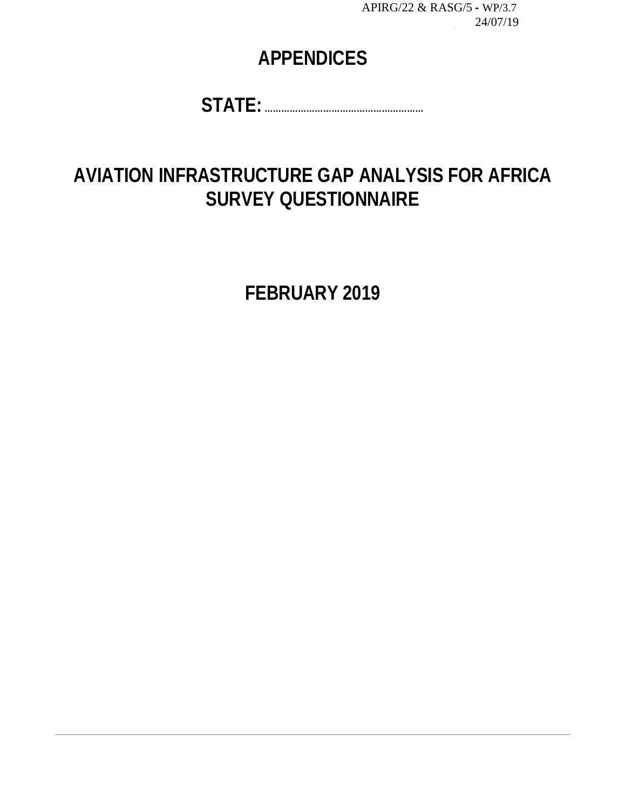# **APPENDICES**

**STATE: …………………………………………………**

# **AVIATION INFRASTRUCTURE GAP ANALYSIS FOR AFRICA SURVEY QUESTIONNAIRE**

**FEBRUARY 2019**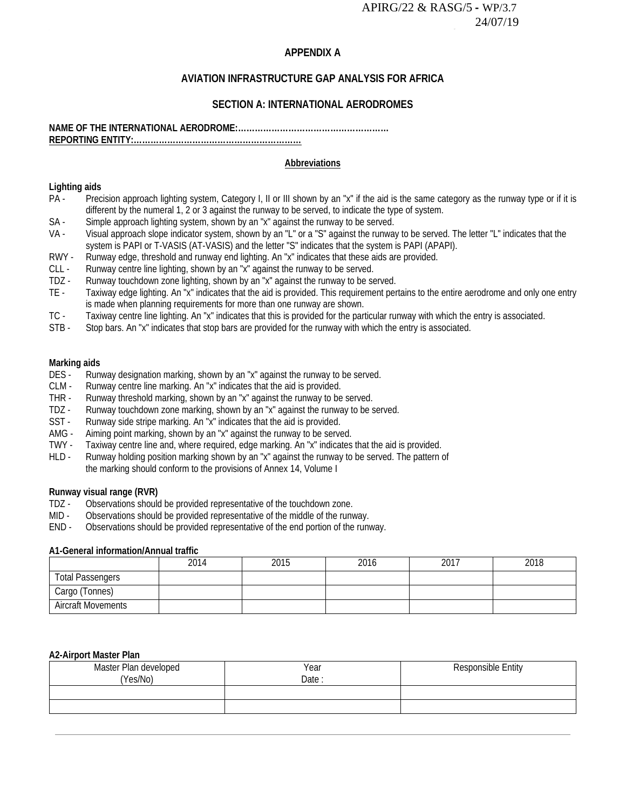#### **APPENDIX A**

# **AVIATION INFRASTRUCTURE GAP ANALYSIS FOR AFRICA**

#### **SECTION A: INTERNATIONAL AERODROMES**

#### **NAME OF THE INTERNATIONAL AERODROME:……………………………………………… REPORTING ENTITY:....**

#### **Abbreviations**

# **Lighting aids**

- Precision approach lighting system, Category I, II or III shown by an "x" if the aid is the same category as the runway type or if it is different by the numeral 1, 2 or 3 against the runway to be served, to indicate the type of system.
- SA Simple approach lighting system, shown by an "x" against the runway to be served.<br>VA Visual approach slope indicator system shown by an "I" or a "S" against the runwa
- Visual approach slope indicator system, shown by an "L" or a "S" against the runway to be served. The letter "L" indicates that the system is PAPI or T-VASIS (AT-VASIS) and the letter "S" indicates that the system is PAPI (APAPI).
- RWY Runway edge, threshold and runway end lighting. An "x" indicates that these aids are provided.
- CLL Runway centre line lighting, shown by an "x" against the runway to be served.<br>TDZ Runway touchdown zone lighting, shown by an "x" against the runway to be se
- TDZ Runway touchdown zone lighting, shown by an "x" against the runway to be served.<br>TE Taxiway edge lighting. An "x" indicates that the aid is provided. This requirement per
- Taxiway edge lighting. An "x" indicates that the aid is provided. This requirement pertains to the entire aerodrome and only one entry is made when planning requirements for more than one runway are shown.
- TC Taxiway centre line lighting. An "x" indicates that this is provided for the particular runway with which the entry is associated.<br>STB Stop bars. An "x" indicates that stop bars are provided for the runway with whic
- Stop bars. An "x" indicates that stop bars are provided for the runway with which the entry is associated.

#### **Marking aids**

- DES Runway designation marking, shown by an "x" against the runway to be served.
- CLM Runway centre line marking. An "x" indicates that the aid is provided.
- THR Runway threshold marking, shown by an "x" against the runway to be served.
- TDZ Runway touchdown zone marking, shown by an "x" against the runway to be served.
- SST Runway side stripe marking. An "x" indicates that the aid is provided.<br>AMG Aiming point marking, shown by an "x" against the runway to be serve
- Aiming point marking, shown by an "x" against the runway to be served.
- TWY Taxiway centre line and, where required, edge marking. An "x" indicates that the aid is provided.
- HLD Runway holding position marking shown by an "x" against the runway to be served. The pattern of the marking should conform to the provisions of Annex 14, Volume I

#### **Runway visual range (RVR)**

- TDZ Observations should be provided representative of the touchdown zone.
- MID Observations should be provided representative of the middle of the runway.
- END Observations should be provided representative of the end portion of the runway.

#### **A1-General information/Annual traffic**

|                           | 2014 | 2015 | 2016 | 2017 | 2018 |
|---------------------------|------|------|------|------|------|
| <b>Total Passengers</b>   |      |      |      |      |      |
| Cargo (Tonnes)            |      |      |      |      |      |
| <b>Aircraft Movements</b> |      |      |      |      |      |

#### **A2-Airport Master Plan**

| Master Plan developed<br>(Yes/No) | Year<br>Date: | Responsible Entity |
|-----------------------------------|---------------|--------------------|
|                                   |               |                    |
|                                   |               |                    |
|                                   |               |                    |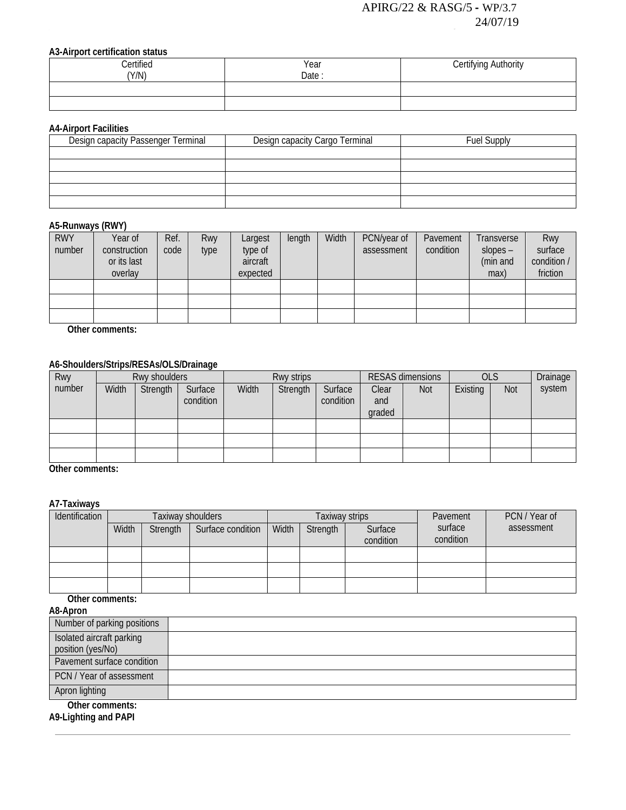#### **A3-Airport certification status**

| <b>Certified</b><br>(Y/N) | Year<br>Date | Certifying Authority |
|---------------------------|--------------|----------------------|
|                           |              |                      |
|                           |              |                      |

#### **A4-Airport Facilities**

| Design capacity Passenger Terminal | Design capacity Cargo Terminal | <b>Fuel Supply</b> |  |  |  |  |  |  |  |  |
|------------------------------------|--------------------------------|--------------------|--|--|--|--|--|--|--|--|
|                                    |                                |                    |  |  |  |  |  |  |  |  |
|                                    |                                |                    |  |  |  |  |  |  |  |  |
|                                    |                                |                    |  |  |  |  |  |  |  |  |
|                                    |                                |                    |  |  |  |  |  |  |  |  |
|                                    |                                |                    |  |  |  |  |  |  |  |  |

#### **A5-Runways (RWY)**

| <b>RWY</b><br>number | Year of<br>construction<br>or its last<br>overlay | Ref.<br>code | Rwy<br>type | Largest<br>type of<br>aircraft<br>expected | length | Width | PCN/year of<br>assessment | Pavement<br>condition | Transverse<br>$slopes -$<br>(min and<br>max) | Rwy<br>surface<br>condition /<br>friction |
|----------------------|---------------------------------------------------|--------------|-------------|--------------------------------------------|--------|-------|---------------------------|-----------------------|----------------------------------------------|-------------------------------------------|
|                      |                                                   |              |             |                                            |        |       |                           |                       |                                              |                                           |
|                      |                                                   |              |             |                                            |        |       |                           |                       |                                              |                                           |
|                      |                                                   |              |             |                                            |        |       |                           |                       |                                              |                                           |

**Other comments:**

# **A6-Shoulders/Strips/RESAs/OLS/Drainage**

| Rwy    |       | Rwy shoulders |                      | Rwy strips |          |                      | <b>RESAS dimensions</b> |            | <b>OLS</b> |     | Drainage |
|--------|-------|---------------|----------------------|------------|----------|----------------------|-------------------------|------------|------------|-----|----------|
| number | Width | Strength      | Surface<br>condition | Width      | Strength | Surface<br>condition | Clear<br>and<br>graded  | <b>Not</b> | Existing   | Not | system   |
|        |       |               |                      |            |          |                      |                         |            |            |     |          |
|        |       |               |                      |            |          |                      |                         |            |            |     |          |
|        |       |               |                      |            |          |                      |                         |            |            |     |          |

**Other comments:**

### **A7-Taxiways**

| Identification |       | Taxiway shoulders |                   |       | Taxiway strips |           | Pavement  | PCN / Year of |
|----------------|-------|-------------------|-------------------|-------|----------------|-----------|-----------|---------------|
|                | Width | Strength          | Surface condition | Width | Strength       | Surface   | surface   | assessment    |
|                |       |                   |                   |       |                | condition | condition |               |
|                |       |                   |                   |       |                |           |           |               |
|                |       |                   |                   |       |                |           |           |               |
|                |       |                   |                   |       |                |           |           |               |

**Other comments:**

| A8-Apron                                       |  |
|------------------------------------------------|--|
| Number of parking positions                    |  |
| Isolated aircraft parking<br>position (yes/No) |  |
| Pavement surface condition                     |  |
| PCN / Year of assessment                       |  |
| Apron lighting                                 |  |
| Other comments:                                |  |

**A9-Lighting and PAPI**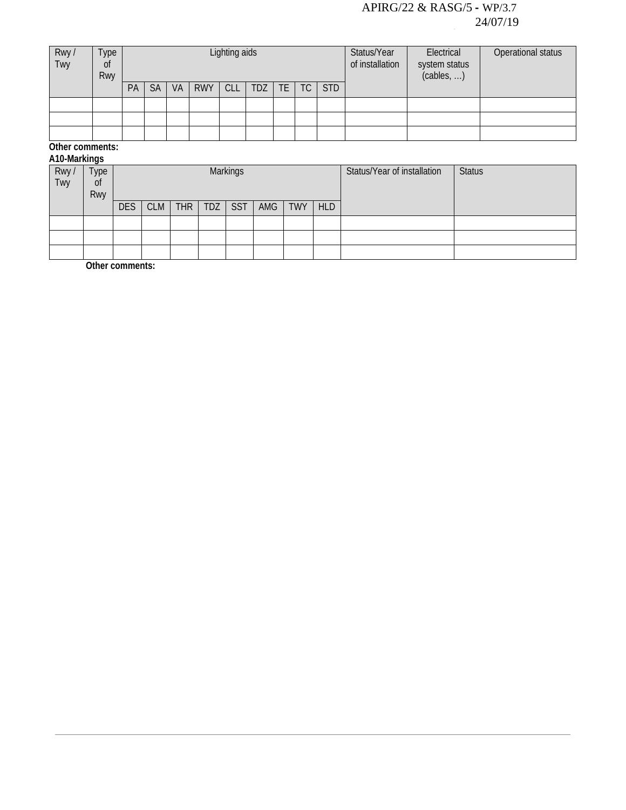| Rwy /<br>Twy | Type<br><sub>Of</sub><br>Rwy |    |           |    |            | Lighting aids |     |     |           |            | Status/Year<br>of installation | Electrical<br>system status<br>(cables, ) | Operational status |
|--------------|------------------------------|----|-----------|----|------------|---------------|-----|-----|-----------|------------|--------------------------------|-------------------------------------------|--------------------|
|              |                              | PA | <b>SA</b> | VA | <b>RWY</b> | <b>CLL</b>    | TDZ | TE. | <b>TC</b> | <b>STD</b> |                                |                                           |                    |
|              |                              |    |           |    |            |               |     |     |           |            |                                |                                           |                    |
|              |                              |    |           |    |            |               |     |     |           |            |                                |                                           |                    |
|              |                              |    |           |    |            |               |     |     |           |            |                                |                                           |                    |

**Other comments: A10-Markings**

|              | A IV-Markings |            |            |            |            |                 |     |            |            |                             |               |  |  |
|--------------|---------------|------------|------------|------------|------------|-----------------|-----|------------|------------|-----------------------------|---------------|--|--|
| Rwy /<br>Twy | Type          |            |            |            |            | <b>Markings</b> |     |            |            | Status/Year of installation | <b>Status</b> |  |  |
|              | Οt            |            |            |            |            |                 |     |            |            |                             |               |  |  |
|              | Rwy           |            |            |            |            |                 |     |            |            |                             |               |  |  |
|              |               | <b>DES</b> | <b>CLM</b> | <b>THR</b> | <b>TDZ</b> | <b>SST</b>      | AMG | <b>TWY</b> | <b>HLD</b> |                             |               |  |  |
|              |               |            |            |            |            |                 |     |            |            |                             |               |  |  |
|              |               |            |            |            |            |                 |     |            |            |                             |               |  |  |
|              |               |            |            |            |            |                 |     |            |            |                             |               |  |  |

**Other comments:**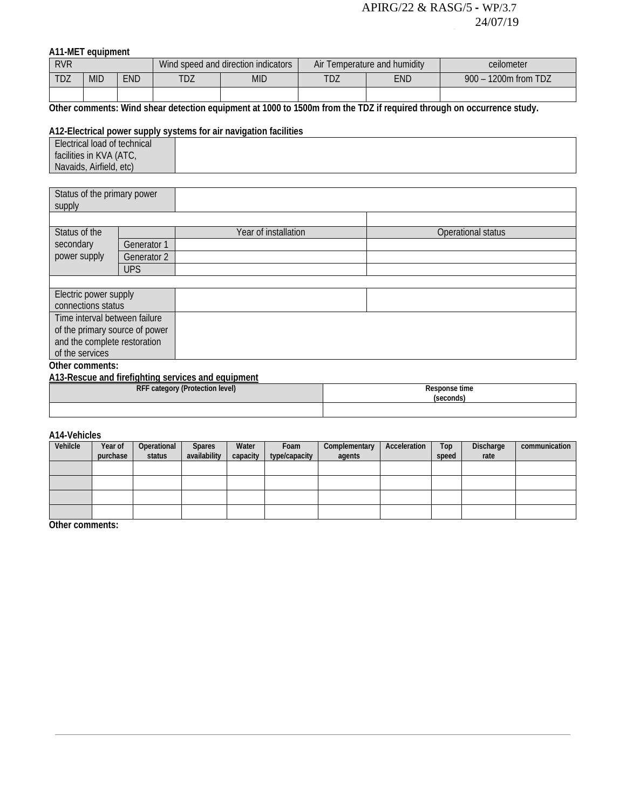# **A11-MET equipment**

| <b>RVR</b> |            |     |     | Wind speed and direction indicators | Air 7 | Temperature and humidity | ceilometer                |
|------------|------------|-----|-----|-------------------------------------|-------|--------------------------|---------------------------|
| TDZ        | <b>MID</b> | END | TDZ | <b>MID</b>                          | TDZ   | END                      | 1200m from TDZ<br>$900 -$ |
|            |            |     |     |                                     |       |                          |                           |

**Other comments: Wind shear detection equipment at 1000 to 1500m from the TDZ if required through on occurrence study.**

#### **A12-Electrical power supply systems for air navigation facilities**

| Electrical load of technical |  |
|------------------------------|--|
| facilities in KVA (ATC,      |  |
| Navaids, Airfield, etc)      |  |

| Status of the primary power<br>supply |             |                      |                    |
|---------------------------------------|-------------|----------------------|--------------------|
|                                       |             |                      |                    |
| Status of the                         |             | Year of installation | Operational status |
| secondary                             | Generator 1 |                      |                    |
| power supply                          | Generator 2 |                      |                    |
|                                       | <b>UPS</b>  |                      |                    |
|                                       |             |                      |                    |
| Electric power supply                 |             |                      |                    |
| connections status                    |             |                      |                    |
| Time interval between failure         |             |                      |                    |
| of the primary source of power        |             |                      |                    |
| and the complete restoration          |             |                      |                    |
| of the services                       |             |                      |                    |
| Other comments:                       |             |                      |                    |

**A13-Rescue and firefighting services and equipment**

| RFF category (Protection level) | Response time<br>secondsi |
|---------------------------------|---------------------------|
|                                 |                           |

#### **A14-Vehicles**

| Vehilcle | Year of  | Operational | <b>Spares</b> | Water    | Foam          | Complementary | Acceleration | Top   | Discharge | communication |
|----------|----------|-------------|---------------|----------|---------------|---------------|--------------|-------|-----------|---------------|
|          | purchase | status      | availability  | capacity | type/capacity | agents        |              | speed | rate      |               |
|          |          |             |               |          |               |               |              |       |           |               |
|          |          |             |               |          |               |               |              |       |           |               |
|          |          |             |               |          |               |               |              |       |           |               |
|          |          |             |               |          |               |               |              |       |           |               |

**Other comments:**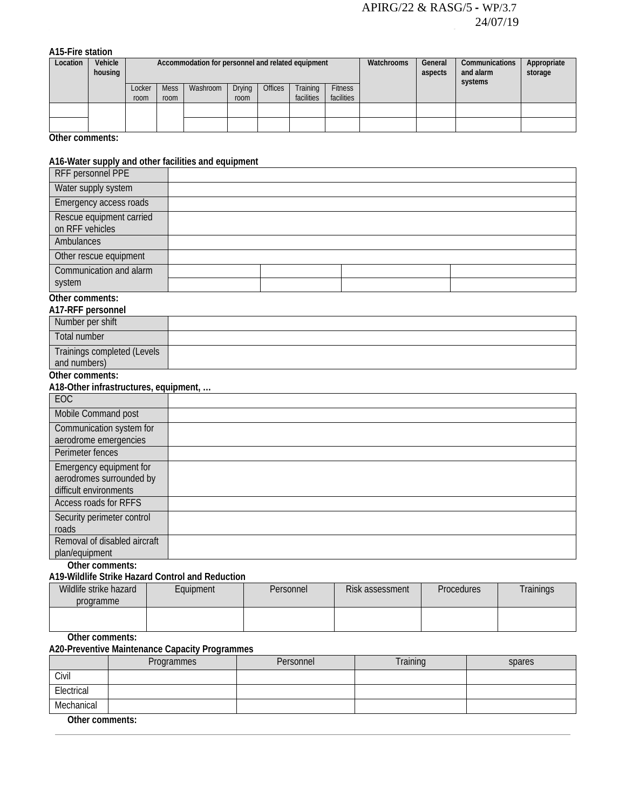**A15-Fire station**

| Location | Vehicle<br>housing |                | Accommodation for personnel and related equipment |          |                       |                |                        |                              | Watchrooms | General<br>aspects | Communications<br>and alarm<br>systems | Appropriate<br>storage |
|----------|--------------------|----------------|---------------------------------------------------|----------|-----------------------|----------------|------------------------|------------------------------|------------|--------------------|----------------------------------------|------------------------|
|          |                    | Locker<br>room | <b>Mess</b><br>room                               | Washroom | <b>Drying</b><br>room | <b>Offices</b> | Training<br>facilities | <b>Fitness</b><br>facilities |            |                    |                                        |                        |
|          |                    |                |                                                   |          |                       |                |                        |                              |            |                    |                                        |                        |
|          |                    |                |                                                   |          |                       |                |                        |                              |            |                    |                                        |                        |

**Other comments:**

#### **A16-Water supply and other facilities and equipment**

| RFF personnel PPE                                      |  |  |
|--------------------------------------------------------|--|--|
| Water supply system                                    |  |  |
| Emergency access roads                                 |  |  |
| Rescue equipment carried<br>on RFF vehicles            |  |  |
| <b>Ambulances</b>                                      |  |  |
| Other rescue equipment                                 |  |  |
| Communication and alarm                                |  |  |
| system                                                 |  |  |
| Other comments:<br>A17-RFF personnel                   |  |  |
| Number per shift                                       |  |  |
| <b>Total number</b>                                    |  |  |
| Trainings completed (Levels<br>and numbers)            |  |  |
| Other comments:                                        |  |  |
| A18-Other infrastructures, equipment,                  |  |  |
| EOC                                                    |  |  |
| Mobile Command post                                    |  |  |
| Communication system for                               |  |  |
| aerodrome emergencies<br>Perimeter fences              |  |  |
| Emergency equipment for                                |  |  |
| aerodromes surrounded by                               |  |  |
| difficult environments<br><b>Access roads for RFFS</b> |  |  |
|                                                        |  |  |
| Security perimeter control<br>roads                    |  |  |
| Removal of disabled aircraft                           |  |  |
| plan/equipment                                         |  |  |

**Other comments:**

#### **A19-Wildlife Strike Hazard Control and Reduction**

| Wildlife strike hazard | Equipment | Personnel | Risk assessment | <b>Procedures</b> | Trainings |
|------------------------|-----------|-----------|-----------------|-------------------|-----------|
| programme              |           |           |                 |                   |           |
|                        |           |           |                 |                   |           |
|                        |           |           |                 |                   |           |

**Other comments:**

**A20-Preventive Maintenance Capacity Programmes**

|                   | Programmes | Personnel | Training | spares |
|-------------------|------------|-----------|----------|--------|
| Civil             |            |           |          |        |
| Electrical        |            |           |          |        |
| Mechanical        |            |           |          |        |
| $Othor$ commonte: |            |           |          |        |

**Other comments:**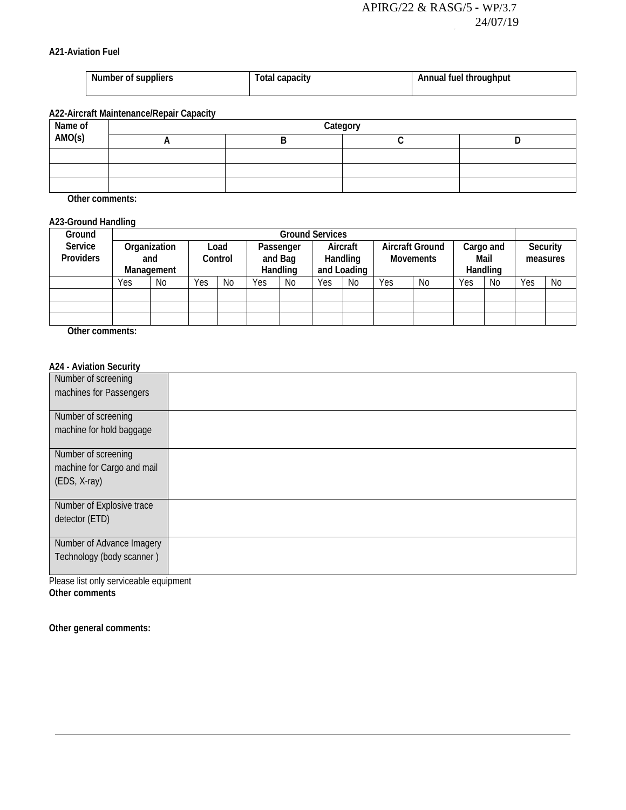#### **A21-Aviation Fuel**

| Number of suppliers | Total capacity | Annual fuel throughput |
|---------------------|----------------|------------------------|
|                     |                |                        |

# **A22-Aircraft Maintenance/Repair Capacity**

| Name of<br>AMO(s) | Category |  |  |  |  |  |  |  |  |
|-------------------|----------|--|--|--|--|--|--|--|--|
|                   |          |  |  |  |  |  |  |  |  |
|                   |          |  |  |  |  |  |  |  |  |
|                   |          |  |  |  |  |  |  |  |  |
|                   |          |  |  |  |  |  |  |  |  |

**Other comments:**

#### **A23-Ground Handling**

| Ground           |     | <b>Ground Services</b>   |     |                 |     |                                  |     |                                     |     |                                            |     |                               |     |                      |  |
|------------------|-----|--------------------------|-----|-----------------|-----|----------------------------------|-----|-------------------------------------|-----|--------------------------------------------|-----|-------------------------------|-----|----------------------|--|
| Service          |     | Organization             |     | Load<br>Control |     | Passenger<br>and Bag<br>Handling |     | Aircraft<br>Handling<br>and Loading |     | <b>Aircraft Ground</b><br><b>Movements</b> |     | Cargo and<br>Mail<br>Handling |     | Security<br>measures |  |
| <b>Providers</b> |     | and<br><b>Management</b> |     |                 |     |                                  |     |                                     |     |                                            |     |                               |     |                      |  |
|                  |     |                          |     |                 |     |                                  |     |                                     |     |                                            |     |                               |     |                      |  |
|                  | Yes | N <sub>0</sub>           | Yes | N <sub>0</sub>  | Yes | No                               | Yes | No                                  | Yes | No                                         | Yes | No                            | Yes | No                   |  |
|                  |     |                          |     |                 |     |                                  |     |                                     |     |                                            |     |                               |     |                      |  |
|                  |     |                          |     |                 |     |                                  |     |                                     |     |                                            |     |                               |     |                      |  |
|                  |     |                          |     |                 |     |                                  |     |                                     |     |                                            |     |                               |     |                      |  |

**Other comments:**

#### **A24 - Aviation Security**

| Number of screening                                    |  |
|--------------------------------------------------------|--|
| machines for Passengers                                |  |
|                                                        |  |
| Number of screening                                    |  |
| machine for hold baggage                               |  |
|                                                        |  |
| Number of screening                                    |  |
| machine for Cargo and mail                             |  |
| (EDS, X-ray)                                           |  |
|                                                        |  |
| Number of Explosive trace                              |  |
|                                                        |  |
| detector (ETD)                                         |  |
|                                                        |  |
|                                                        |  |
|                                                        |  |
|                                                        |  |
| Number of Advance Imagery<br>Technology (body scanner) |  |

Please list only serviceable equipment **Other comments** 

**Other general comments:**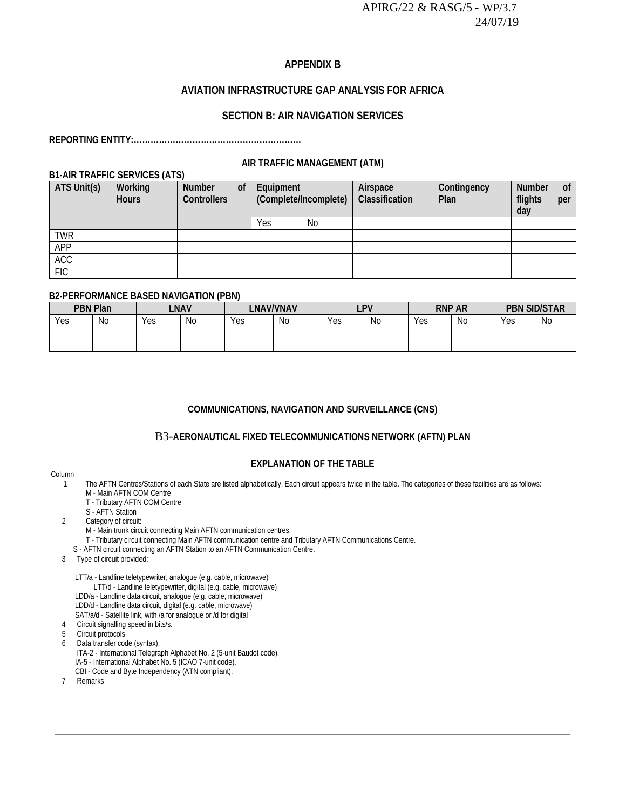#### **APPENDIX B**

# **AVIATION INFRASTRUCTURE GAP ANALYSIS FOR AFRICA**

#### **SECTION B: AIR NAVIGATION SERVICES**

#### **REPORTING ENTITY:**

#### **AIR TRAFFIC MANAGEMENT (ATM)**

### **B1-AIR TRAFFIC SERVICES (ATS)**

| ATS Unit(s) | Working<br><b>Hours</b> | Number<br><b>Controllers</b> | <sub>of</sub> | Equipment<br>(Complete/Incomplete) |    | Airspace<br>Classification | Contingency<br>Plan | Number<br>flights<br>day | <sub>of</sub><br>per |
|-------------|-------------------------|------------------------------|---------------|------------------------------------|----|----------------------------|---------------------|--------------------------|----------------------|
|             |                         |                              |               | Yes                                | No |                            |                     |                          |                      |
| <b>TWR</b>  |                         |                              |               |                                    |    |                            |                     |                          |                      |
| <b>APP</b>  |                         |                              |               |                                    |    |                            |                     |                          |                      |
| <b>ACC</b>  |                         |                              |               |                                    |    |                            |                     |                          |                      |
| <b>FIC</b>  |                         |                              |               |                                    |    |                            |                     |                          |                      |

#### **B2-PERFORMANCE BASED NAVIGATION (PBN)**

| <b>PBN Plan</b> |     | <b>LNAV</b> |    | <b>LNAV/VNAV</b> |    | <b>LPV</b> |    | <b>RNP AR</b> |    | <b>PBN SID/STAR</b> |      |
|-----------------|-----|-------------|----|------------------|----|------------|----|---------------|----|---------------------|------|
| Yes             | No. | Yes         | Νo | Yes              | No | Yes        | No | Yes           | No | Yes                 | - No |
|                 |     |             |    |                  |    |            |    |               |    |                     |      |
|                 |     |             |    |                  |    |            |    |               |    |                     |      |

#### **COMMUNICATIONS, NAVIGATION AND SURVEILLANCE (CNS)**

#### B3-**[AERONAUTICAL FIXED TELECOMMUNICATIONS NETWORK \(AFTN\) PLAN](https://portal.icao.int/space/ANP/Documents/AFI/FASID%20Table%20CNS%20II-1.docx)**

#### **EXPLANATION OF THE TABLE**

# Column<br>1

- The AFTN Centres/Stations of each State are listed alphabetically. Each circuit appears twice in the table. The categories of these facilities are as follows: M - Main AFTN COM Centre
- T Tributary AFTN COM Centre
- S AFTN Station<br>2 Category of circui
	- Category of circuit:
	- M Main trunk circuit connecting Main AFTN communication centres.
	- T Tributary circuit connecting Main AFTN communication centre and Tributary AFTN Communications Centre.
	- S AFTN circuit connecting an AFTN Station to an AFTN Communication Centre.
- 3 Type of circuit provided:

LTT/a - Landline teletypewriter, analogue (e.g. cable, microwave)

- LTT/d Landline teletypewriter, digital (e.g. cable, microwave)
- LDD/a Landline data circuit, analogue (e.g. cable, microwave)
	- LDD/d Landline data circuit, digital (e.g. cable, microwave)
	- SAT/a/d Satellite link, with /a for analogue or /d for digital
- 4 Circuit signalling speed in bits/s.
- 5 Circuit protocols
- 6 Data transfer code (syntax):
	- ITA-2 International Telegraph Alphabet No. 2 (5-unit Baudot code).
	- IA-5 International Alphabet No. 5 (ICAO 7-unit code).
	- CBI Code and Byte Independency (ATN compliant).
	- 7 Remarks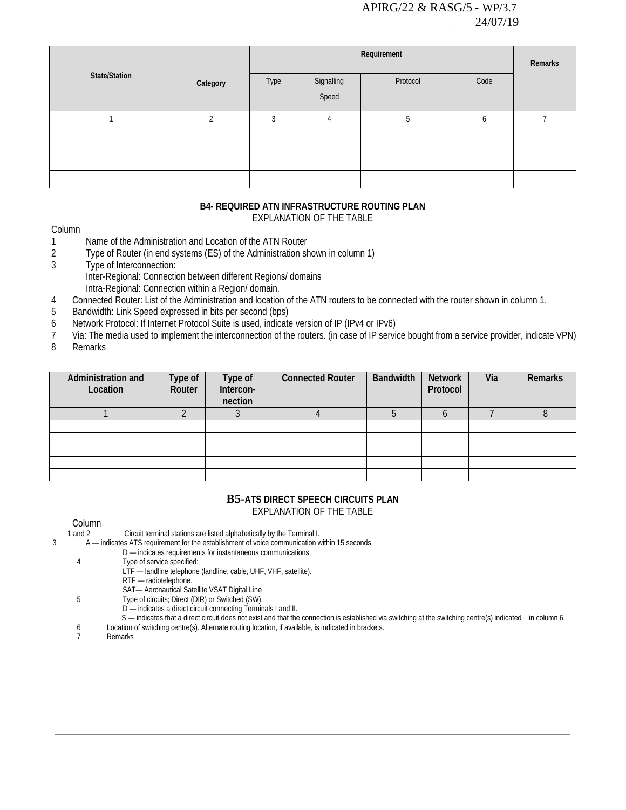|               |          |      | Requirement         |          |      |  |  |  |  |  |
|---------------|----------|------|---------------------|----------|------|--|--|--|--|--|
| State/Station | Category | Type | Signalling<br>Speed | Protocol | Code |  |  |  |  |  |
|               | ി        | 3    | 4                   | 5        | b    |  |  |  |  |  |
|               |          |      |                     |          |      |  |  |  |  |  |
|               |          |      |                     |          |      |  |  |  |  |  |
|               |          |      |                     |          |      |  |  |  |  |  |

# **B4- [REQUIRED ATN INFRASTRUCTURE ROUTING PLAN](https://portal.icao.int/space/ANP/Documents/AFI/FASID%20Table%20CNS%20II-2.docx)**

EXPLANATION OF THE TABLE

#### Column

- 1 Name of the Administration and Location of the ATN Router<br>2 Type of Router (in end systems (ES) of the Administration sh
- Type of Router (in end systems (ES) of the Administration shown in column 1)
- 3 Type of Interconnection:
	- Inter-Regional: Connection between different Regions/ domains
	- Intra-Regional: Connection within a Region/ domain.
- 4 Connected Router: List of the Administration and location of the ATN routers to be connected with the router shown in column 1.
- 5 Bandwidth: Link Speed expressed in bits per second (bps)
- 6 Network Protocol: If Internet Protocol Suite is used, indicate version of IP (IPv4 or IPv6)
- 7 Via: The media used to implement the interconnection of the routers. (in case of IP service bought from a service provider, indicate VPN)
- 8 Remarks

| Administration and<br>Location | Type of<br>Router | Type of<br>Intercon-<br>nection | <b>Connected Router</b> | <b>Bandwidth</b> | <b>Network</b><br>Protocol | Via | Remarks |
|--------------------------------|-------------------|---------------------------------|-------------------------|------------------|----------------------------|-----|---------|
|                                |                   |                                 |                         |                  |                            |     |         |
|                                |                   |                                 |                         |                  |                            |     |         |
|                                |                   |                                 |                         |                  |                            |     |         |
|                                |                   |                                 |                         |                  |                            |     |         |
|                                |                   |                                 |                         |                  |                            |     |         |
|                                |                   |                                 |                         |                  |                            |     |         |

#### **B5-[ATS DIRECT SPEECH CIRCUITS PLAN](https://portal.icao.int/space/ANP/Documents/AFI/FASID%20Table%20CNS%20II-3.docx)** EXPLANATION OF THE TABLE

Column<br>1 and 2 Circuit terminal stations are listed alphabetically by the Terminal I.

3 A — indicates ATS requirement for the establishment of voice communication within 15 seconds.

D — indicates requirements for instantaneous communications.<br>4 Type of service specified:

- Type of service specified:
	- LTF landline telephone (landline, cable, UHF, VHF, satellite).
		- RTF radiotelephone.
- SAT— Aeronautical Satellite VSAT Digital Line
- 5 Type of circuits; Direct (DIR) or Switched (SW).
	- D indicates a direct circuit connecting Terminals I and II.
	- S indicates that a direct circuit does not exist and that the connection is established via switching at the switching centre(s) indicated in column 6.
- 6 Location of switching centre(s). Alternate routing location, if available, is indicated in brackets.
- **Remarks**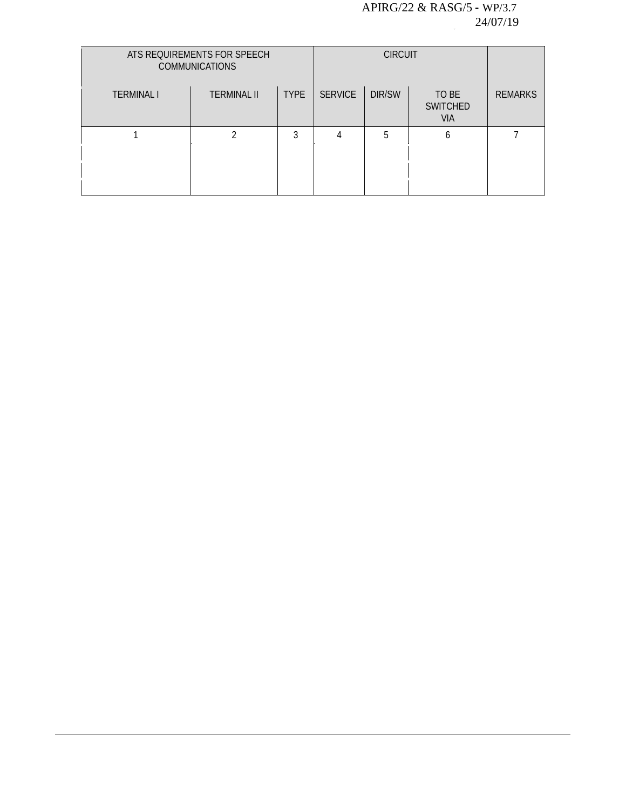|                   | ATS REQUIREMENTS FOR SPEECH<br><b>COMMUNICATIONS</b> |             |                |        |                                        |                |
|-------------------|------------------------------------------------------|-------------|----------------|--------|----------------------------------------|----------------|
| <b>TERMINAL I</b> | <b>TERMINAL II</b>                                   | <b>TYPE</b> | <b>SERVICE</b> | DIR/SW | TO BE<br><b>SWITCHED</b><br><b>VIA</b> | <b>REMARKS</b> |
|                   |                                                      | 3           |                | 5      | h                                      |                |
|                   |                                                      |             |                |        |                                        |                |
|                   |                                                      |             |                |        |                                        |                |
|                   |                                                      |             |                |        |                                        |                |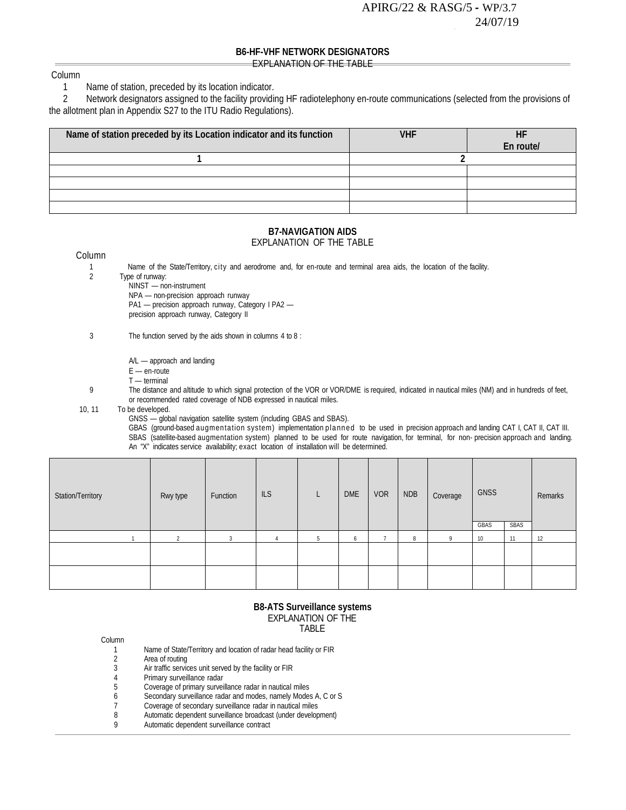#### **B6-HF-VHF NETWORK DESIGNATORS** EXPLANATION OF THE TABLE

#### Column

# 1 Name of station, preceded by its location indicator.<br>2 Network designators assigned to the facility providi

 2 Network designators assigned to the facility providing HF radiotelephony en-route communications (selected from the provisions of the allotment plan in Appendix S27 to the ITU Radio Regulations).

| Name of station preceded by its Location indicator and its function | <b>VHF</b> |           |
|---------------------------------------------------------------------|------------|-----------|
|                                                                     |            | En route/ |
|                                                                     |            |           |
|                                                                     |            |           |
|                                                                     |            |           |
|                                                                     |            |           |
|                                                                     |            |           |

#### **B7-NAVIGATION AIDS** EXPLANATION OF THE TABLE

#### Column

- 1 Name of the State/Territory, city and aerodrome and, for en-route and terminal area aids, the location of the facility.<br>2 Type of runway:
- 2 Type of runway:

NINST — non-instrument

NPA — non-precision approach runway PA1 — precision approach runway, Category I PA2 precision approach runway, Category II

- 3 The function served by the aids shown in columns 4 to 8 :
	- A/L approach and landing
	- $E$  en-route
	- T terminal
- 9 The distance and altitude to which signal protection of the VOR or VOR/DME is required, indicated in nautical miles (NM) and in hundreds of feet, or recommended rated coverage of NDB expressed in nautical miles.
- 10, 11 To be developed.
	- GNSS global navigation satellite system (including GBAS and SBAS).
	- GBAS (ground-based augmentation system) implementation planned to be used in precision approach and landing CAT I, CAT II, CAT III. SBAS (satellite-based augmentation system) planned to be used for route navigation, for terminal, for non- precision approach and landing. An "X" indicates service availability; exact location of installation will be determined.

| Station/Territory | Rwy type | Function | ILS |   | DME | <b>VOR</b> | <b>NDB</b> | Coverage | GNSS<br>GBAS | SBAS | Remarks |
|-------------------|----------|----------|-----|---|-----|------------|------------|----------|--------------|------|---------|
|                   | $\sim$   | h        |     | 5 | 6   |            | 8          |          | 10           | 11   | 12      |
|                   |          |          |     |   |     |            |            |          |              |      |         |
|                   |          |          |     |   |     |            |            |          |              |      |         |
|                   |          |          |     |   |     |            |            |          |              |      |         |

#### **B8-ATS Surveillance systems** EXPLANATION OF THE TABLE

| Column |                                                                    |
|--------|--------------------------------------------------------------------|
|        | Name of State/Territory and location of radar head facility or FIR |
| 2      | Area of routing                                                    |
| 3      | Air traffic services unit served by the facility or FIR            |
| 4      | Primary surveillance radar                                         |
| 5      | Coverage of primary surveillance radar in nautical miles           |
| 6      | Secondary surveillance radar and modes, namely Modes A, C or S     |
| 7      | Coverage of secondary surveillance radar in nautical miles         |
| 8      | Automatic dependent surveillance broadcast (under development)     |
| Q      | Automatic dependent surveillance contract                          |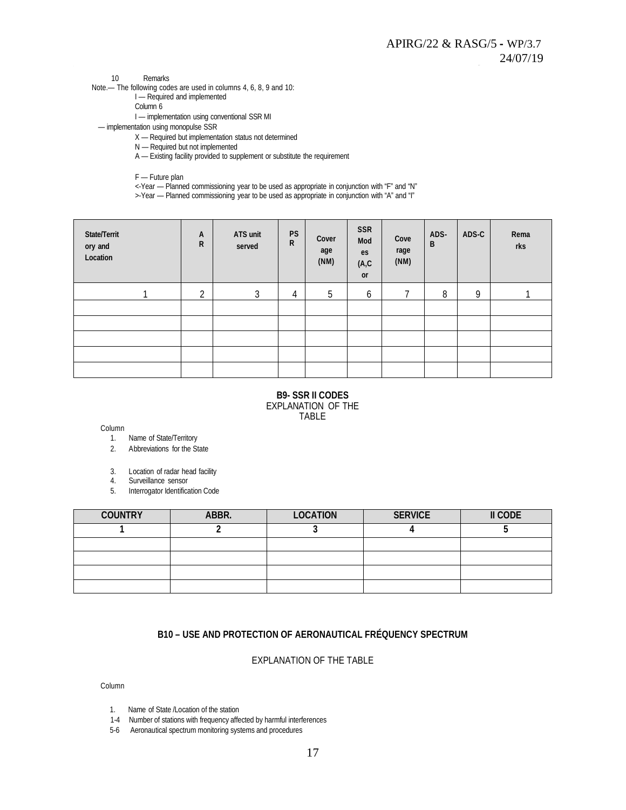10 Remarks

Note.— The following codes are used in columns 4, 6, 8, 9 and 10:

- I Required and implemented
- Column 6

I — implementation using conventional SSR MI

— implementation using monopulse SSR

X — Required but implementation status not determined

N — Required but not implemented

A — Existing facility provided to supplement or substitute the requirement

F — Future plan

<-Year — Planned commissioning year to be used as appropriate in conjunction with "F" and "N"

>-Year — Planned commissioning year to be used as appropriate in conjunction with "A" and "I"

| State/Territ<br>ory and<br>Location | A<br>$\mathsf{R}$ | ATS unit<br>served | <b>PS</b><br>$\mathsf R$ | Cover<br>age<br>(NM) | <b>SSR</b><br>Mod<br>es<br>(A, C)<br>or | Cove<br>rage<br>(NM) | ADS-<br>B | ADS-C | Rema<br>rks |
|-------------------------------------|-------------------|--------------------|--------------------------|----------------------|-----------------------------------------|----------------------|-----------|-------|-------------|
|                                     | $\overline{2}$    | 3                  | 4                        | 5                    | 6                                       | 7                    | 8         | 9     |             |
|                                     |                   |                    |                          |                      |                                         |                      |           |       |             |
|                                     |                   |                    |                          |                      |                                         |                      |           |       |             |
|                                     |                   |                    |                          |                      |                                         |                      |           |       |             |
|                                     |                   |                    |                          |                      |                                         |                      |           |       |             |
|                                     |                   |                    |                          |                      |                                         |                      |           |       |             |

#### **B9- SSR II CODES** EXPLANATION OF THE TABLE

Column

- 1. Name of State/Territory
- 2. Abbreviations for the State
- 3. Location of radar head facility
- 4. Surveillance sensor
- 5. Interrogator Identification Code

| <b>COUNTRY</b> | ABBR. | <b>LOCATION</b> | <b>SERVICE</b> | II CODE |
|----------------|-------|-----------------|----------------|---------|
|                |       |                 |                |         |
|                |       |                 |                |         |
|                |       |                 |                |         |
|                |       |                 |                |         |
|                |       |                 |                |         |

#### **B10 – USE AND PROTECTION OF AERONAUTICAL FRÉQUENCY SPECTRUM**

#### EXPLANATION OF THE TABLE

Column

- 1. Name of State /Location of the station
- 1-4 Number of stations with frequency affected by harmful interferences
- 5-6 Aeronautical spectrum monitoring systems and procedures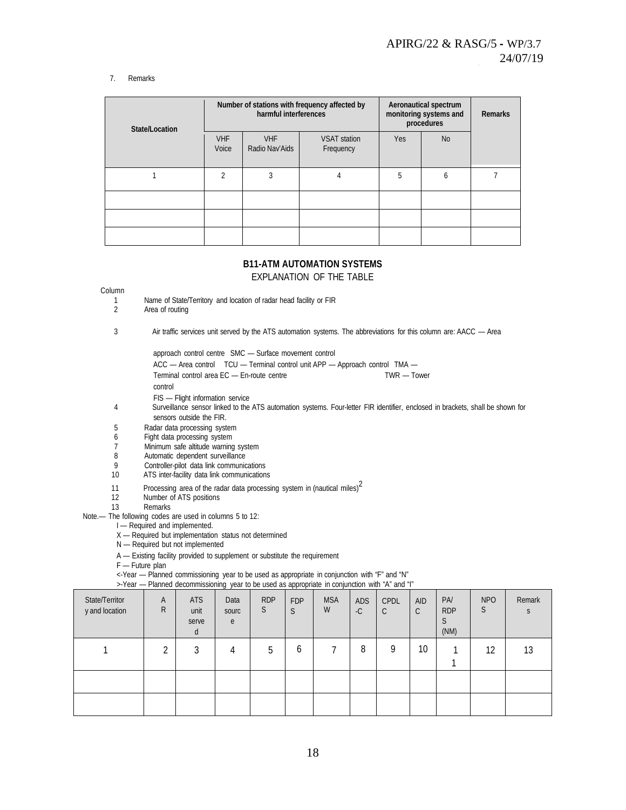#### 7. Remarks

| State/Location |                         | harmful interferences        | Number of stations with frequency affected by | Aeronautical spectrum<br>monitoring systems and<br>procedures | <b>Remarks</b> |  |
|----------------|-------------------------|------------------------------|-----------------------------------------------|---------------------------------------------------------------|----------------|--|
|                | <b>VHF</b><br>Voice     | <b>VHF</b><br>Radio Nav'Aids | <b>VSAT station</b><br>Frequency              | <b>Yes</b>                                                    | <b>No</b>      |  |
|                | $\overline{\mathbf{c}}$ | 3                            | 4                                             | 5                                                             | 6              |  |
|                |                         |                              |                                               |                                                               |                |  |
|                |                         |                              |                                               |                                                               |                |  |
|                |                         |                              |                                               |                                                               |                |  |

# **B11-ATM AUTOMATION SYSTEMS**

EXPLANATION OF THE TABLE

#### Column

- 1 Name of State/Territory and location of radar head facility or FIR<br>2 Area of routing
	- Area of routing
- 3 Air traffic services unit served by the ATS automation systems. The abbreviations for this column are: AACC Area

approach control centre SMC — Surface movement control

- ACC Area control TCU Terminal control unit APP Approach control TMA —
- Terminal control area EC En-route centre TWR Tower
- control
- FIS Flight information service
- 4 Surveillance sensor linked to the ATS automation systems. Four-letter FIR identifier, enclosed in brackets, shall be shown for sensors outside the FIR.
- 5 Radar data processing system<br>6 Fight data processing system
- 6 Fight data processing system<br>7 Minimum safe altitude warning
- 7 Minimum safe altitude warning system<br>8 Automatic dependent surveillance
- 8 Automatic dependent surveillance<br>9 Controller-pilot data link communic
- Controller-pilot data link communications
- 10 ATS inter-facility data link communications
- 11 Processing area of the radar data processing system in (nautical miles) $2 \times 12$  Number of ATS positions
- Number of ATS positions
- 13 Remarks
- Note.— The following codes are used in columns 5 to 12:
	- I Required and implemented.
	- X Required but implementation status not determined
	- N Required but not implemented
	- A Existing facility provided to supplement or substitute the requirement
	- F Future plan
	- <-Year Planned commissioning year to be used as appropriate in conjunction with "F" and "N"
	- >-Year Planned decommissioning year to be used as appropriate in conjunction with "A" and "I"

| State/Territor<br>y and location | A<br>R     | <b>ATS</b><br>unit<br>serve<br>d | Data<br>sourc<br>e | <b>RDP</b><br>S | <b>FDP</b><br>S | <b>MSA</b><br>W | ADS<br>$-C$ | CPDL<br>C | <b>AID</b><br>$\mathsf{C}$ | <b>PA</b><br><b>RDP</b><br>S<br>(MM) | <b>NPO</b><br>S | Remark |
|----------------------------------|------------|----------------------------------|--------------------|-----------------|-----------------|-----------------|-------------|-----------|----------------------------|--------------------------------------|-----------------|--------|
|                                  | $\sqrt{2}$ | 3                                | 4                  | 5               | O               |                 | 8           | 9         | 10                         |                                      | 12              | 13     |
|                                  |            |                                  |                    |                 |                 |                 |             |           |                            |                                      |                 |        |
|                                  |            |                                  |                    |                 |                 |                 |             |           |                            |                                      |                 |        |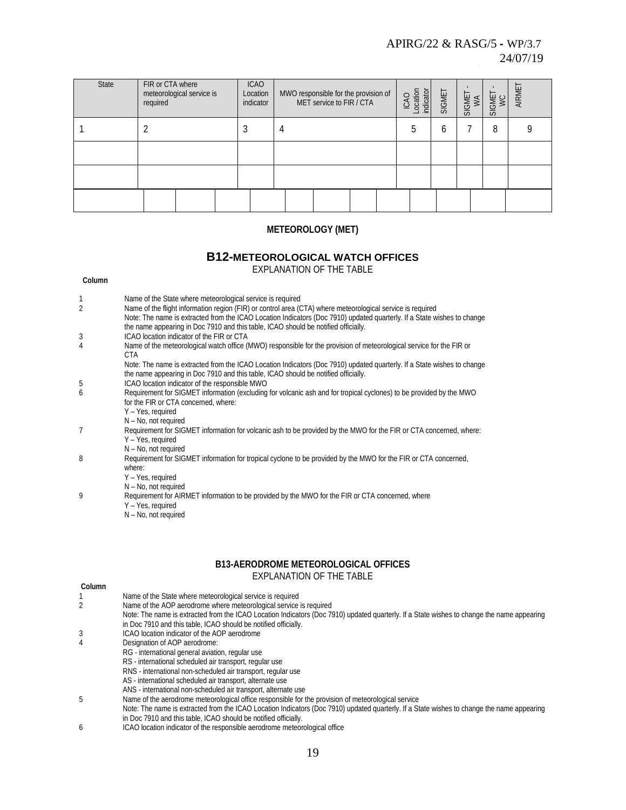| State | FIR or CTA where<br>meteorological service is<br>required | <b>ICAO</b><br>Location<br>indicator | MWO responsible for the provision of<br>MET service to FIR / CTA | ICAO<br>Location<br>indicator | SIGMET | SIGMET<br>WA | SIGMET<br>WC | AIRME <sup>-</sup> |
|-------|-----------------------------------------------------------|--------------------------------------|------------------------------------------------------------------|-------------------------------|--------|--------------|--------------|--------------------|
|       |                                                           |                                      | 4                                                                |                               | 6      |              | 8            |                    |
|       |                                                           |                                      |                                                                  |                               |        |              |              |                    |
|       |                                                           |                                      |                                                                  |                               |        |              |              |                    |
|       |                                                           |                                      |                                                                  |                               |        |              |              |                    |

#### **METEOROLOGY (MET)**

# **B12[-METEOROLOGICAL WATCH OFFICES](https://portal.icao.int/space/ANP/Documents/AFI/FASID%20Table%20MET%20II-1.docx)**

Note: The name is extracted from the ICAO Location Indicators (Doc 7910) updated quarterly. If a State wishes to change

EXPLANATION OF THE TABLE **Column**

1 Name of the State where meteorological service is required<br>2 Name of the flight information region (FIR) or control area (C

|   | the name appearing in Doc 7910 and this table, ICAO should be notified officially.                                      |
|---|-------------------------------------------------------------------------------------------------------------------------|
| 3 | ICAO location indicator of the FIR or CTA                                                                               |
| 4 | Name of the meteorological watch office (MWO) responsible for the provision of meteorological service for the FIR or    |
|   | CTA                                                                                                                     |
|   | Note: The name is extracted from the ICAO Location Indicators (Doc 7910) updated quarterly. If a State wishes to change |
|   | the name appearing in Doc 7910 and this table, ICAO should be notified officially.                                      |
| 5 | ICAO location indicator of the responsible MWO                                                                          |
| 6 | Requirement for SIGMET information (excluding for volcanic ash and for tropical cyclones) to be provided by the MWO     |
|   | for the FIR or CTA concerned, where:                                                                                    |
|   | Y - Yes, required                                                                                                       |
|   | $N - No$ , not required                                                                                                 |
|   | Requirement for SIGMET information for volcanic ash to be provided by the MWO for the FIR or CTA concerned, where:      |
|   | Y - Yes, required                                                                                                       |
|   | $N - No$ , not required                                                                                                 |
| 8 | Requirement for SIGMET information for tropical cyclone to be provided by the MWO for the FIR or CTA concerned,         |
|   | where:                                                                                                                  |
|   | Y - Yes, required                                                                                                       |
|   | N - No, not required                                                                                                    |
| 9 | Requirement for AIRMET information to be provided by the MWO for the FIR or CTA concerned, where                        |
|   | Y - Yes, required                                                                                                       |
|   | $N - No$ , not required                                                                                                 |
|   |                                                                                                                         |

2 Name of the flight information region (FIR) or control area (CTA) where meteorological service is required

#### **B13[-AERODROME METEOROLOGICAL OFFICES](https://portal.icao.int/space/ANP/Documents/AFI/FASID%20Table%20MET%20II-2.docx)** EXPLANATION OF THE TABLE

| Column |                                                                                                                                            |
|--------|--------------------------------------------------------------------------------------------------------------------------------------------|
|        | Name of the State where meteorological service is required                                                                                 |
|        | Name of the AOP aerodrome where meteorological service is required                                                                         |
|        | Note: The name is extracted from the ICAO Location Indicators (Doc 7910) updated quarterly. If a State wishes to change the name appearing |
|        | in Doc 7910 and this table, ICAO should be notified officially.                                                                            |
| 3      | ICAO location indicator of the AOP aerodrome                                                                                               |
|        | Designation of AOP aerodrome:                                                                                                              |
|        | RG - international general aviation, regular use                                                                                           |
|        | RS - international scheduled air transport, regular use                                                                                    |
|        | RNS - international non-scheduled air transport, regular use                                                                               |
|        | AS - international scheduled air transport, alternate use                                                                                  |
|        | ANS - international non-scheduled air transport, alternate use                                                                             |
| 5      | Name of the aerodrome meteorological office responsible for the provision of meteorological service                                        |
|        | Note: The name is extracted from the ICAO Location Indicators (Doc 7910) updated quarterly. If a State wishes to change the name appearing |
|        | in Doc 7910 and this table, ICAO should be notified officially.                                                                            |
|        | $1000$ legation indicates of the secondecible acsodence methodological office.                                                             |

6 ICAO location indicator of the responsible aerodrome meteorological office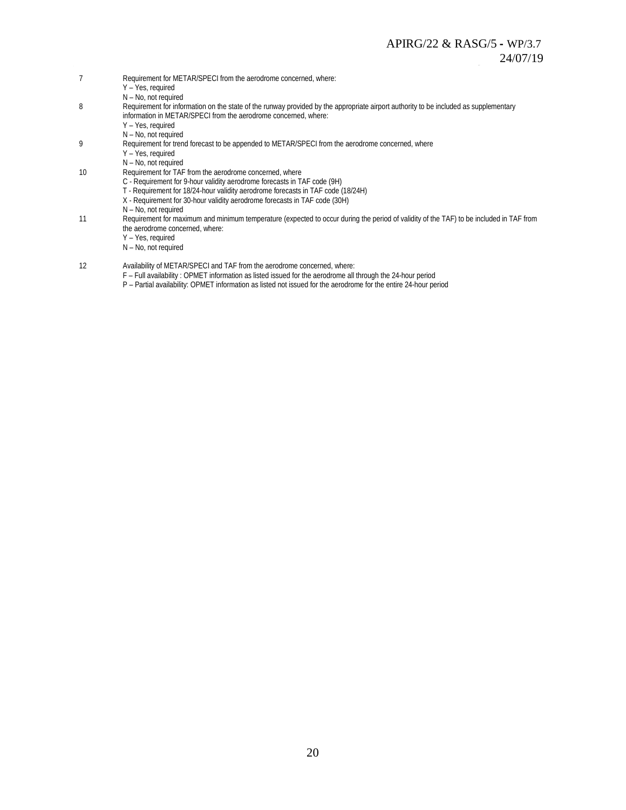- 7 Requirement for METAR/SPECI from the aerodrome concerned, where:
	- Y Yes, required
	- N No, not required
- 8 Requirement for information on the state of the runway provided by the appropriate airport authority to be included as supplementary information in METAR/SPECI from the aerodrome concerned, where:
	- Y Yes, required
	- N No, not required
- 9 Requirement for trend forecast to be appended to METAR/SPECI from the aerodrome concerned, where
	- Y Yes, required
	- N No, not required
- 10 Requirement for TAF from the aerodrome concerned, where
	- C Requirement for 9-hour validity aerodrome forecasts in TAF code (9H)
	- T Requirement for 18/24-hour validity aerodrome forecasts in TAF code (18/24H)
	- X Requirement for 30-hour validity aerodrome forecasts in TAF code (30H)
		- N No, not required
- 11 Requirement for maximum and minimum temperature (expected to occur during the period of validity of the TAF) to be included in TAF from the aerodrome concerned, where:
	- Y Yes, required
	- N No, not required
- 12 Availability of METAR/SPECI and TAF from the aerodrome concerned, where:
	- F Full availability : OPMET information as listed issued for the aerodrome all through the 24-hour period
	- P Partial availability: OPMET information as listed not issued for the aerodrome for the entire 24-hour period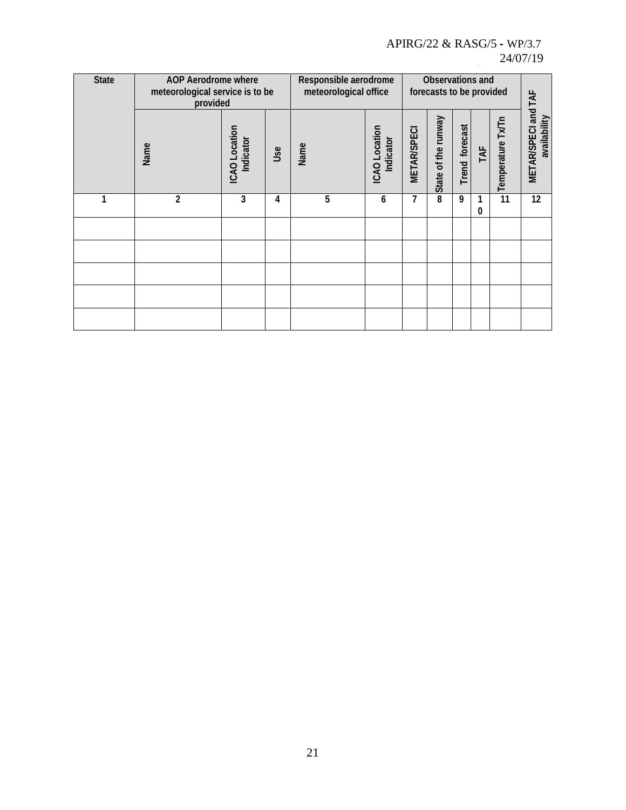| <b>State</b> | <b>AOP Aerodrome where</b><br>meteorological service is to be<br>provided |                            | Responsible aerodrome<br>meteorological office |      |                            | Observations and<br>forecasts to be provided |                     |                   |     |                   |                                     |
|--------------|---------------------------------------------------------------------------|----------------------------|------------------------------------------------|------|----------------------------|----------------------------------------------|---------------------|-------------------|-----|-------------------|-------------------------------------|
|              | Name                                                                      | ICAO Location<br>Indicator | Use                                            | Name | ICAO Location<br>Indicator | <b>METAR/SPECI</b>                           | State of the runway | forecast<br>Trend | TAF | Temperature Tx/Tn | METAR/SPECI and TAF<br>availability |
| 1            | $\overline{c}$                                                            | 3                          | 4                                              | 5    | 6                          | 7                                            | 8                   | 9                 | 0   | 11                | 12                                  |
|              |                                                                           |                            |                                                |      |                            |                                              |                     |                   |     |                   |                                     |
|              |                                                                           |                            |                                                |      |                            |                                              |                     |                   |     |                   |                                     |
|              |                                                                           |                            |                                                |      |                            |                                              |                     |                   |     |                   |                                     |
|              |                                                                           |                            |                                                |      |                            |                                              |                     |                   |     |                   |                                     |
|              |                                                                           |                            |                                                |      |                            |                                              |                     |                   |     |                   |                                     |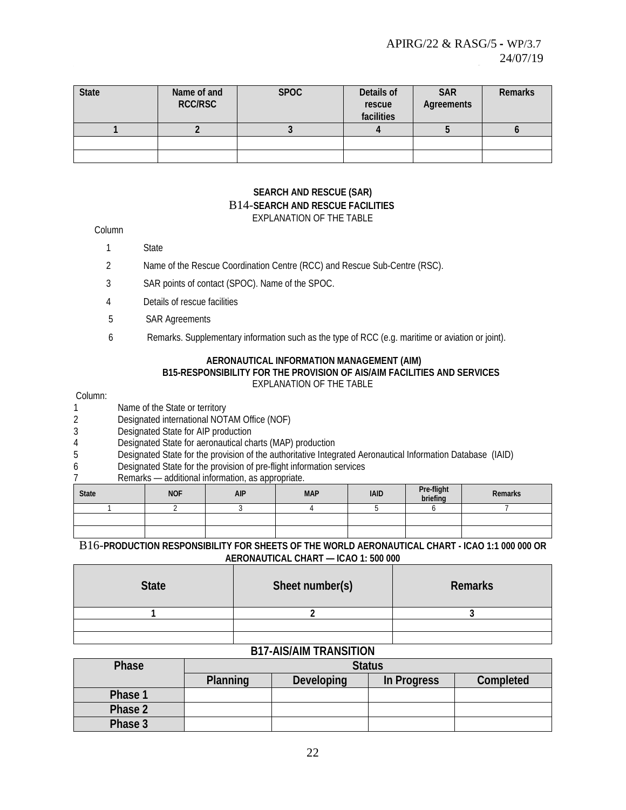| <b>State</b> | Name of and<br>RCC/RSC | <b>SPOC</b> | Details of<br>rescue<br>facilities | <b>SAR</b><br>Agreements | Remarks |
|--------------|------------------------|-------------|------------------------------------|--------------------------|---------|
|              |                        |             |                                    |                          |         |
|              |                        |             |                                    |                          |         |
|              |                        |             |                                    |                          |         |

#### **SEARCH AND RESCUE (SAR)** B14-**[SEARCH AND RESCUE FACILITIES](https://portal.icao.int/space/ANP/Documents/MID%20FASID%20Table%20SAR%20II-1.docx)** EXPLANATION OF THE TABLE

#### Column

1 State

- 2 Name of the Rescue Coordination Centre (RCC) and Rescue Sub-Centre (RSC).
- 3 SAR points of contact (SPOC). Name of the SPOC.
- 4 Details of rescue facilities
- 5 SAR Agreements
- 6 Remarks. Supplementary information such as the type of RCC (e.g. maritime or aviation or joint).

#### **AERONAUTICAL INFORMATION MANAGEMENT (AIM) [B15-RESPONSIBILITY FOR THE PROVISION OF AIS/AIM FACILITIES AND SERVICES](https://portal.icao.int/space/ANP/Documents/AFI/FASID%20Table%20AIM%20II-1.docx)** EXPLANATION OF THE TABLE

#### Column:

- 1 Name of the State or territory<br>2 Designated international NOT
- 2 Designated international NOTAM Office (NOF)<br>3 Designated State for AIP production
- Designated State for AIP production
- 4 Designated State for aeronautical charts (MAP) production
- 5 Designated State for the provision of the authoritative Integrated Aeronautical Information Database (IAID)
- 6 Designated State for the provision of pre-flight information services
- 7 Remarks additional information, as appropriate.

| <b>State</b> | <b>NOF</b> | <b>AIP</b> | <b>MAP</b> | <b>IAID</b> | Pre-flight<br>briefing | Remarks |
|--------------|------------|------------|------------|-------------|------------------------|---------|
|              |            |            |            |             |                        |         |
|              |            |            |            |             |                        |         |
|              |            |            |            |             |                        |         |

#### B16-**[PRODUCTION RESPONSIBILITY FOR SHEETS OF THE WORLD AERONAUTICAL CHART -](https://portal.icao.int/space/ANP/Documents/AFI/FASID%20Table%20AIM%20II-2.docx) ICAO 1:1 000 000 OR [AERONAUTICAL CHART —](https://portal.icao.int/space/ANP/Documents/AFI/FASID%20Table%20AIM%20II-2.docx) ICAO 1: 500 000**

| <b>State</b> | Sheet number(s) | Remarks |
|--------------|-----------------|---------|
|              |                 |         |
|              |                 |         |
|              |                 |         |

#### **B17-AIS/AIM TRANSITION**

| Phase   | <b>Status</b> |                   |             |           |  |  |  |
|---------|---------------|-------------------|-------------|-----------|--|--|--|
|         | Planning      | <b>Developing</b> | In Progress | Completed |  |  |  |
| Phase 1 |               |                   |             |           |  |  |  |
| Phase 2 |               |                   |             |           |  |  |  |
| Phase 3 |               |                   |             |           |  |  |  |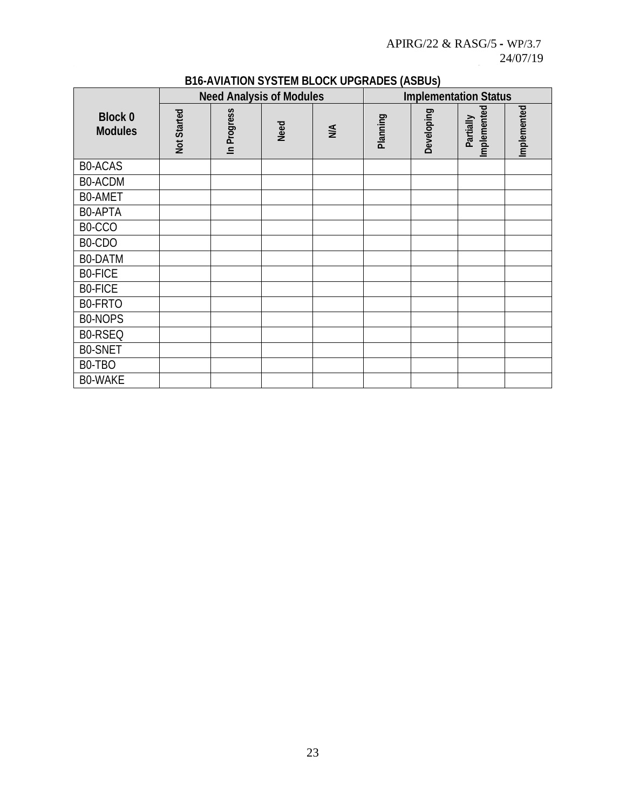|                                  | <b>Need Analysis of Modules</b> |             |      |    |          |            | <b>Implementation Status</b> |             |
|----------------------------------|---------------------------------|-------------|------|----|----------|------------|------------------------------|-------------|
| <b>Block 0</b><br><b>Modules</b> | Not Started                     | In Progress | Need | NA | Planning | Developing | Implemented<br>Partially     | Implemented |
| <b>BO-ACAS</b>                   |                                 |             |      |    |          |            |                              |             |
| B0-ACDM                          |                                 |             |      |    |          |            |                              |             |
| <b>BO-AMET</b>                   |                                 |             |      |    |          |            |                              |             |
| B0-APTA                          |                                 |             |      |    |          |            |                              |             |
| B0-CCO                           |                                 |             |      |    |          |            |                              |             |
| B0-CDO                           |                                 |             |      |    |          |            |                              |             |
| B0-DATM                          |                                 |             |      |    |          |            |                              |             |
| <b>BO-FICE</b>                   |                                 |             |      |    |          |            |                              |             |
| <b>BO-FICE</b>                   |                                 |             |      |    |          |            |                              |             |
| B0-FRTO                          |                                 |             |      |    |          |            |                              |             |
| B0-NOPS                          |                                 |             |      |    |          |            |                              |             |
| B0-RSEQ                          |                                 |             |      |    |          |            |                              |             |
| <b>BO-SNET</b>                   |                                 |             |      |    |          |            |                              |             |
| B0-TBO                           |                                 |             |      |    |          |            |                              |             |
| <b>BO-WAKE</b>                   |                                 |             |      |    |          |            |                              |             |

# **B16-AVIATION SYSTEM BLOCK UPGRADES (ASBUs)**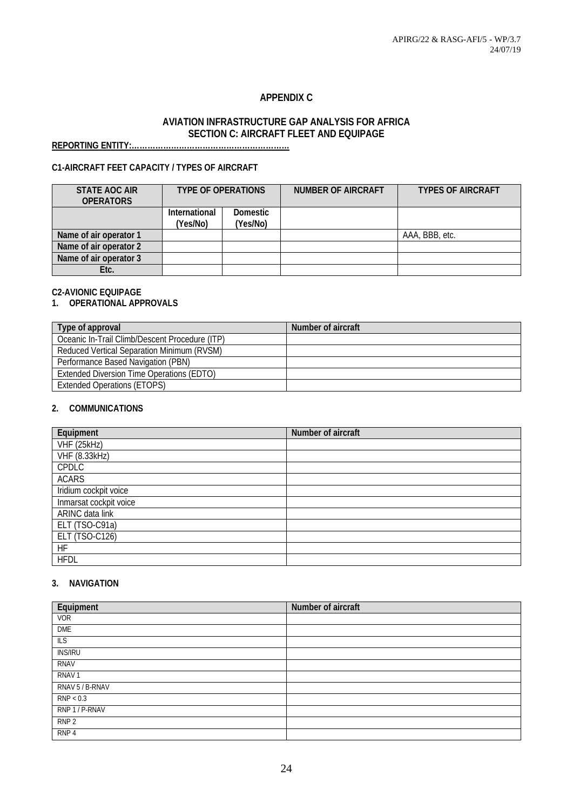# **APPENDIX C**

#### **AVIATION INFRASTRUCTURE GAP ANALYSIS FOR AFRICA SECTION C: AIRCRAFT FLEET AND EQUIPAGE**

**REPORTING ENTITY:……………………………………………………**

# **C1-AIRCRAFT FEET CAPACITY / TYPES OF AIRCRAFT**

| STATE AOC AIR<br><b>OPERATORS</b> | <b>TYPE OF OPERATIONS</b> |                             | <b>NUMBER OF AIRCRAFT</b> | <b>TYPES OF AIRCRAFT</b> |
|-----------------------------------|---------------------------|-----------------------------|---------------------------|--------------------------|
|                                   | International<br>(Yes/No) | <b>Domestic</b><br>(Yes/No) |                           |                          |
|                                   |                           |                             |                           |                          |
| Name of air operator 1            |                           |                             |                           | AAA, BBB, etc.           |
| Name of air operator 2            |                           |                             |                           |                          |
| Name of air operator 3            |                           |                             |                           |                          |
| Etc.                              |                           |                             |                           |                          |

#### **C2-AVIONIC EQUIPAGE**

# **1. OPERATIONAL APPROVALS**

| Type of approval                               | Number of aircraft |
|------------------------------------------------|--------------------|
| Oceanic In-Trail Climb/Descent Procedure (ITP) |                    |
| Reduced Vertical Separation Minimum (RVSM)     |                    |
| Performance Based Navigation (PBN)             |                    |
| Extended Diversion Time Operations (EDTO)      |                    |
| <b>Extended Operations (ETOPS)</b>             |                    |

#### **2. COMMUNICATIONS**

| Equipment              | Number of aircraft |
|------------------------|--------------------|
| VHF (25kHz)            |                    |
| <b>VHF (8.33kHz)</b>   |                    |
| <b>CPDLC</b>           |                    |
| <b>ACARS</b>           |                    |
| Iridium cockpit voice  |                    |
| Inmarsat cockpit voice |                    |
| ARINC data link        |                    |
| ELT (TSO-C91a)         |                    |
| ELT (TSO-C126)         |                    |
| <b>HF</b>              |                    |
| <b>HFDL</b>            |                    |

#### **3. NAVIGATION**

| Equipment         | Number of aircraft |
|-------------------|--------------------|
| <b>VOR</b>        |                    |
| DME               |                    |
| <b>ILS</b>        |                    |
| <b>INS/IRU</b>    |                    |
| <b>RNAV</b>       |                    |
| RNAV <sub>1</sub> |                    |
| RNAV 5 / B-RNAV   |                    |
| RNP < 0.3         |                    |
| RNP 1 / P-RNAV    |                    |
| RNP <sub>2</sub>  |                    |
| RNP <sub>4</sub>  |                    |